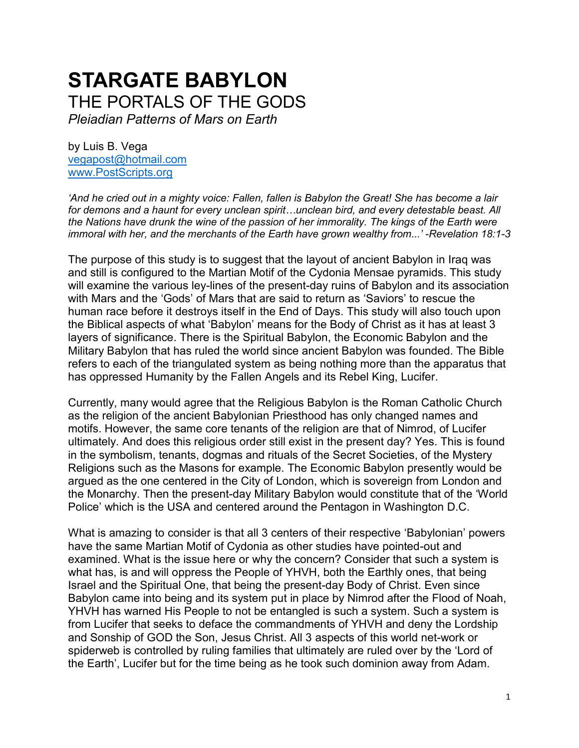# **STARGATE BABYLON** THE PORTALS OF THE GODS

*Pleiadian Patterns of Mars on Earth*

by Luis B. Vega [vegapost@hotmail.com](mailto:vegapost@hotmail.com) [www.PostScripts.org](http://www.postscripts.org/)

*'And he cried out in a mighty voice: Fallen, fallen is Babylon the Great! She has become a lair for demons and a haunt for every unclean spirit…unclean bird, and every detestable beast. All the Nations have drunk the wine of the passion of her immorality. The kings of the Earth were immoral with her, and the merchants of the Earth have grown wealthy from...' -Revelation 18:1-3*

The purpose of this study is to suggest that the layout of ancient Babylon in Iraq was and still is configured to the Martian Motif of the Cydonia Mensae pyramids. This study will examine the various ley-lines of the present-day ruins of Babylon and its association with Mars and the 'Gods' of Mars that are said to return as 'Saviors' to rescue the human race before it destroys itself in the End of Days. This study will also touch upon the Biblical aspects of what 'Babylon' means for the Body of Christ as it has at least 3 layers of significance. There is the Spiritual Babylon, the Economic Babylon and the Military Babylon that has ruled the world since ancient Babylon was founded. The Bible refers to each of the triangulated system as being nothing more than the apparatus that has oppressed Humanity by the Fallen Angels and its Rebel King, Lucifer.

Currently, many would agree that the Religious Babylon is the Roman Catholic Church as the religion of the ancient Babylonian Priesthood has only changed names and motifs. However, the same core tenants of the religion are that of Nimrod, of Lucifer ultimately. And does this religious order still exist in the present day? Yes. This is found in the symbolism, tenants, dogmas and rituals of the Secret Societies, of the Mystery Religions such as the Masons for example. The Economic Babylon presently would be argued as the one centered in the City of London, which is sovereign from London and the Monarchy. Then the present-day Military Babylon would constitute that of the 'World Police' which is the USA and centered around the Pentagon in Washington D.C.

What is amazing to consider is that all 3 centers of their respective 'Babylonian' powers have the same Martian Motif of Cydonia as other studies have pointed-out and examined. What is the issue here or why the concern? Consider that such a system is what has, is and will oppress the People of YHVH, both the Earthly ones, that being Israel and the Spiritual One, that being the present-day Body of Christ. Even since Babylon came into being and its system put in place by Nimrod after the Flood of Noah, YHVH has warned His People to not be entangled is such a system. Such a system is from Lucifer that seeks to deface the commandments of YHVH and deny the Lordship and Sonship of GOD the Son, Jesus Christ. All 3 aspects of this world net-work or spiderweb is controlled by ruling families that ultimately are ruled over by the 'Lord of the Earth', Lucifer but for the time being as he took such dominion away from Adam.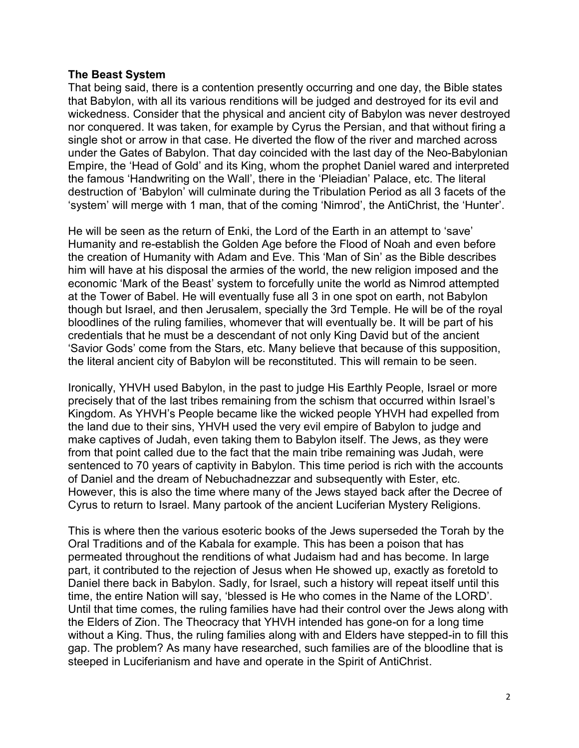## **The Beast System**

That being said, there is a contention presently occurring and one day, the Bible states that Babylon, with all its various renditions will be judged and destroyed for its evil and wickedness. Consider that the physical and ancient city of Babylon was never destroyed nor conquered. It was taken, for example by Cyrus the Persian, and that without firing a single shot or arrow in that case. He diverted the flow of the river and marched across under the Gates of Babylon. That day coincided with the last day of the Neo-Babylonian Empire, the 'Head of Gold' and its King, whom the prophet Daniel wared and interpreted the famous 'Handwriting on the Wall', there in the 'Pleiadian' Palace, etc. The literal destruction of 'Babylon' will culminate during the Tribulation Period as all 3 facets of the 'system' will merge with 1 man, that of the coming 'Nimrod', the AntiChrist, the 'Hunter'.

He will be seen as the return of Enki, the Lord of the Earth in an attempt to 'save' Humanity and re-establish the Golden Age before the Flood of Noah and even before the creation of Humanity with Adam and Eve. This 'Man of Sin' as the Bible describes him will have at his disposal the armies of the world, the new religion imposed and the economic 'Mark of the Beast' system to forcefully unite the world as Nimrod attempted at the Tower of Babel. He will eventually fuse all 3 in one spot on earth, not Babylon though but Israel, and then Jerusalem, specially the 3rd Temple. He will be of the royal bloodlines of the ruling families, whomever that will eventually be. It will be part of his credentials that he must be a descendant of not only King David but of the ancient 'Savior Gods' come from the Stars, etc. Many believe that because of this supposition, the literal ancient city of Babylon will be reconstituted. This will remain to be seen.

Ironically, YHVH used Babylon, in the past to judge His Earthly People, Israel or more precisely that of the last tribes remaining from the schism that occurred within Israel's Kingdom. As YHVH's People became like the wicked people YHVH had expelled from the land due to their sins, YHVH used the very evil empire of Babylon to judge and make captives of Judah, even taking them to Babylon itself. The Jews, as they were from that point called due to the fact that the main tribe remaining was Judah, were sentenced to 70 years of captivity in Babylon. This time period is rich with the accounts of Daniel and the dream of Nebuchadnezzar and subsequently with Ester, etc. However, this is also the time where many of the Jews stayed back after the Decree of Cyrus to return to Israel. Many partook of the ancient Luciferian Mystery Religions.

This is where then the various esoteric books of the Jews superseded the Torah by the Oral Traditions and of the Kabala for example. This has been a poison that has permeated throughout the renditions of what Judaism had and has become. In large part, it contributed to the rejection of Jesus when He showed up, exactly as foretold to Daniel there back in Babylon. Sadly, for Israel, such a history will repeat itself until this time, the entire Nation will say, 'blessed is He who comes in the Name of the LORD'. Until that time comes, the ruling families have had their control over the Jews along with the Elders of Zion. The Theocracy that YHVH intended has gone-on for a long time without a King. Thus, the ruling families along with and Elders have stepped-in to fill this gap. The problem? As many have researched, such families are of the bloodline that is steeped in Luciferianism and have and operate in the Spirit of AntiChrist.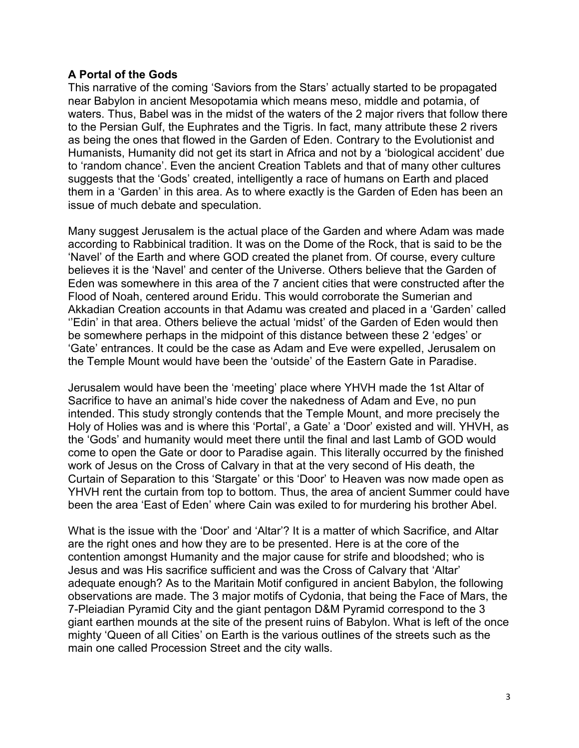# **A Portal of the Gods**

This narrative of the coming 'Saviors from the Stars' actually started to be propagated near Babylon in ancient Mesopotamia which means meso, middle and potamia, of waters. Thus, Babel was in the midst of the waters of the 2 major rivers that follow there to the Persian Gulf, the Euphrates and the Tigris. In fact, many attribute these 2 rivers as being the ones that flowed in the Garden of Eden. Contrary to the Evolutionist and Humanists, Humanity did not get its start in Africa and not by a 'biological accident' due to 'random chance'. Even the ancient Creation Tablets and that of many other cultures suggests that the 'Gods' created, intelligently a race of humans on Earth and placed them in a 'Garden' in this area. As to where exactly is the Garden of Eden has been an issue of much debate and speculation.

Many suggest Jerusalem is the actual place of the Garden and where Adam was made according to Rabbinical tradition. It was on the Dome of the Rock, that is said to be the 'Navel' of the Earth and where GOD created the planet from. Of course, every culture believes it is the 'Navel' and center of the Universe. Others believe that the Garden of Eden was somewhere in this area of the 7 ancient cities that were constructed after the Flood of Noah, centered around Eridu. This would corroborate the Sumerian and Akkadian Creation accounts in that Adamu was created and placed in a 'Garden' called ''Edin' in that area. Others believe the actual 'midst' of the Garden of Eden would then be somewhere perhaps in the midpoint of this distance between these 2 'edges' or 'Gate' entrances. It could be the case as Adam and Eve were expelled, Jerusalem on the Temple Mount would have been the 'outside' of the Eastern Gate in Paradise.

Jerusalem would have been the 'meeting' place where YHVH made the 1st Altar of Sacrifice to have an animal's hide cover the nakedness of Adam and Eve, no pun intended. This study strongly contends that the Temple Mount, and more precisely the Holy of Holies was and is where this 'Portal', a Gate' a 'Door' existed and will. YHVH, as the 'Gods' and humanity would meet there until the final and last Lamb of GOD would come to open the Gate or door to Paradise again. This literally occurred by the finished work of Jesus on the Cross of Calvary in that at the very second of His death, the Curtain of Separation to this 'Stargate' or this 'Door' to Heaven was now made open as YHVH rent the curtain from top to bottom. Thus, the area of ancient Summer could have been the area 'East of Eden' where Cain was exiled to for murdering his brother Abel.

What is the issue with the 'Door' and 'Altar'? It is a matter of which Sacrifice, and Altar are the right ones and how they are to be presented. Here is at the core of the contention amongst Humanity and the major cause for strife and bloodshed; who is Jesus and was His sacrifice sufficient and was the Cross of Calvary that 'Altar' adequate enough? As to the Maritain Motif configured in ancient Babylon, the following observations are made. The 3 major motifs of Cydonia, that being the Face of Mars, the 7-Pleiadian Pyramid City and the giant pentagon D&M Pyramid correspond to the 3 giant earthen mounds at the site of the present ruins of Babylon. What is left of the once mighty 'Queen of all Cities' on Earth is the various outlines of the streets such as the main one called Procession Street and the city walls.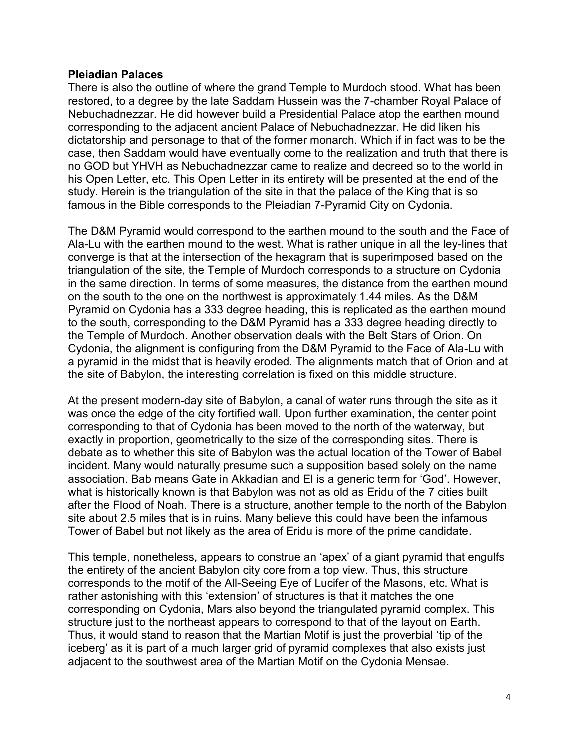## **Pleiadian Palaces**

There is also the outline of where the grand Temple to Murdoch stood. What has been restored, to a degree by the late Saddam Hussein was the 7-chamber Royal Palace of Nebuchadnezzar. He did however build a Presidential Palace atop the earthen mound corresponding to the adjacent ancient Palace of Nebuchadnezzar. He did liken his dictatorship and personage to that of the former monarch. Which if in fact was to be the case, then Saddam would have eventually come to the realization and truth that there is no GOD but YHVH as Nebuchadnezzar came to realize and decreed so to the world in his Open Letter, etc. This Open Letter in its entirety will be presented at the end of the study. Herein is the triangulation of the site in that the palace of the King that is so famous in the Bible corresponds to the Pleiadian 7-Pyramid City on Cydonia.

The D&M Pyramid would correspond to the earthen mound to the south and the Face of Ala-Lu with the earthen mound to the west. What is rather unique in all the ley-lines that converge is that at the intersection of the hexagram that is superimposed based on the triangulation of the site, the Temple of Murdoch corresponds to a structure on Cydonia in the same direction. In terms of some measures, the distance from the earthen mound on the south to the one on the northwest is approximately 1.44 miles. As the D&M Pyramid on Cydonia has a 333 degree heading, this is replicated as the earthen mound to the south, corresponding to the D&M Pyramid has a 333 degree heading directly to the Temple of Murdoch. Another observation deals with the Belt Stars of Orion. On Cydonia, the alignment is configuring from the D&M Pyramid to the Face of Ala-Lu with a pyramid in the midst that is heavily eroded. The alignments match that of Orion and at the site of Babylon, the interesting correlation is fixed on this middle structure.

At the present modern-day site of Babylon, a canal of water runs through the site as it was once the edge of the city fortified wall. Upon further examination, the center point corresponding to that of Cydonia has been moved to the north of the waterway, but exactly in proportion, geometrically to the size of the corresponding sites. There is debate as to whether this site of Babylon was the actual location of the Tower of Babel incident. Many would naturally presume such a supposition based solely on the name association. Bab means Gate in Akkadian and El is a generic term for 'God'. However, what is historically known is that Babylon was not as old as Eridu of the 7 cities built after the Flood of Noah. There is a structure, another temple to the north of the Babylon site about 2.5 miles that is in ruins. Many believe this could have been the infamous Tower of Babel but not likely as the area of Eridu is more of the prime candidate.

This temple, nonetheless, appears to construe an 'apex' of a giant pyramid that engulfs the entirety of the ancient Babylon city core from a top view. Thus, this structure corresponds to the motif of the All-Seeing Eye of Lucifer of the Masons, etc. What is rather astonishing with this 'extension' of structures is that it matches the one corresponding on Cydonia, Mars also beyond the triangulated pyramid complex. This structure just to the northeast appears to correspond to that of the layout on Earth. Thus, it would stand to reason that the Martian Motif is just the proverbial 'tip of the iceberg' as it is part of a much larger grid of pyramid complexes that also exists just adjacent to the southwest area of the Martian Motif on the Cydonia Mensae.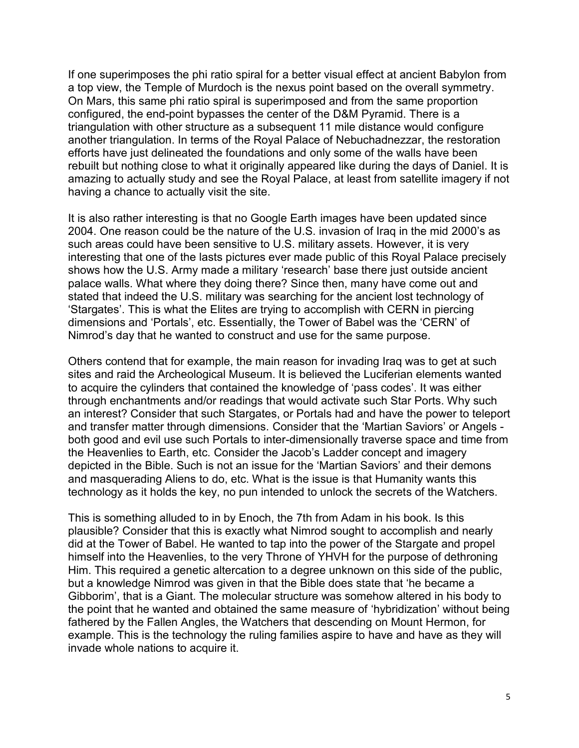If one superimposes the phi ratio spiral for a better visual effect at ancient Babylon from a top view, the Temple of Murdoch is the nexus point based on the overall symmetry. On Mars, this same phi ratio spiral is superimposed and from the same proportion configured, the end-point bypasses the center of the D&M Pyramid. There is a triangulation with other structure as a subsequent 11 mile distance would configure another triangulation. In terms of the Royal Palace of Nebuchadnezzar, the restoration efforts have just delineated the foundations and only some of the walls have been rebuilt but nothing close to what it originally appeared like during the days of Daniel. It is amazing to actually study and see the Royal Palace, at least from satellite imagery if not having a chance to actually visit the site.

It is also rather interesting is that no Google Earth images have been updated since 2004. One reason could be the nature of the U.S. invasion of Iraq in the mid 2000's as such areas could have been sensitive to U.S. military assets. However, it is very interesting that one of the lasts pictures ever made public of this Royal Palace precisely shows how the U.S. Army made a military 'research' base there just outside ancient palace walls. What where they doing there? Since then, many have come out and stated that indeed the U.S. military was searching for the ancient lost technology of 'Stargates'. This is what the Elites are trying to accomplish with CERN in piercing dimensions and 'Portals', etc. Essentially, the Tower of Babel was the 'CERN' of Nimrod's day that he wanted to construct and use for the same purpose.

Others contend that for example, the main reason for invading Iraq was to get at such sites and raid the Archeological Museum. It is believed the Luciferian elements wanted to acquire the cylinders that contained the knowledge of 'pass codes'. It was either through enchantments and/or readings that would activate such Star Ports. Why such an interest? Consider that such Stargates, or Portals had and have the power to teleport and transfer matter through dimensions. Consider that the 'Martian Saviors' or Angels both good and evil use such Portals to inter-dimensionally traverse space and time from the Heavenlies to Earth, etc. Consider the Jacob's Ladder concept and imagery depicted in the Bible. Such is not an issue for the 'Martian Saviors' and their demons and masquerading Aliens to do, etc. What is the issue is that Humanity wants this technology as it holds the key, no pun intended to unlock the secrets of the Watchers.

This is something alluded to in by Enoch, the 7th from Adam in his book. Is this plausible? Consider that this is exactly what Nimrod sought to accomplish and nearly did at the Tower of Babel. He wanted to tap into the power of the Stargate and propel himself into the Heavenlies, to the very Throne of YHVH for the purpose of dethroning Him. This required a genetic altercation to a degree unknown on this side of the public, but a knowledge Nimrod was given in that the Bible does state that 'he became a Gibborim', that is a Giant. The molecular structure was somehow altered in his body to the point that he wanted and obtained the same measure of 'hybridization' without being fathered by the Fallen Angles, the Watchers that descending on Mount Hermon, for example. This is the technology the ruling families aspire to have and have as they will invade whole nations to acquire it.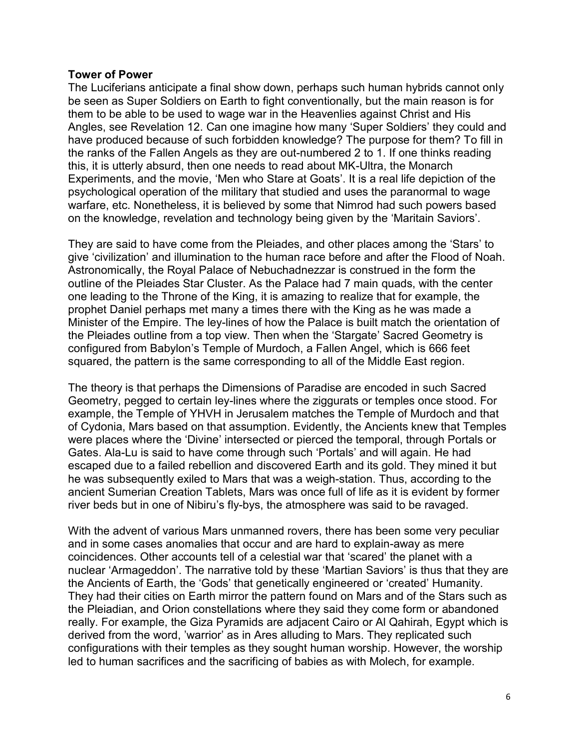#### **Tower of Power**

The Luciferians anticipate a final show down, perhaps such human hybrids cannot only be seen as Super Soldiers on Earth to fight conventionally, but the main reason is for them to be able to be used to wage war in the Heavenlies against Christ and His Angles, see Revelation 12. Can one imagine how many 'Super Soldiers' they could and have produced because of such forbidden knowledge? The purpose for them? To fill in the ranks of the Fallen Angels as they are out-numbered 2 to 1. If one thinks reading this, it is utterly absurd, then one needs to read about MK-Ultra, the Monarch Experiments, and the movie, 'Men who Stare at Goats'. It is a real life depiction of the psychological operation of the military that studied and uses the paranormal to wage warfare, etc. Nonetheless, it is believed by some that Nimrod had such powers based on the knowledge, revelation and technology being given by the 'Maritain Saviors'.

They are said to have come from the Pleiades, and other places among the 'Stars' to give 'civilization' and illumination to the human race before and after the Flood of Noah. Astronomically, the Royal Palace of Nebuchadnezzar is construed in the form the outline of the Pleiades Star Cluster. As the Palace had 7 main quads, with the center one leading to the Throne of the King, it is amazing to realize that for example, the prophet Daniel perhaps met many a times there with the King as he was made a Minister of the Empire. The ley-lines of how the Palace is built match the orientation of the Pleiades outline from a top view. Then when the 'Stargate' Sacred Geometry is configured from Babylon's Temple of Murdoch, a Fallen Angel, which is 666 feet squared, the pattern is the same corresponding to all of the Middle East region.

The theory is that perhaps the Dimensions of Paradise are encoded in such Sacred Geometry, pegged to certain ley-lines where the ziggurats or temples once stood. For example, the Temple of YHVH in Jerusalem matches the Temple of Murdoch and that of Cydonia, Mars based on that assumption. Evidently, the Ancients knew that Temples were places where the 'Divine' intersected or pierced the temporal, through Portals or Gates. Ala-Lu is said to have come through such 'Portals' and will again. He had escaped due to a failed rebellion and discovered Earth and its gold. They mined it but he was subsequently exiled to Mars that was a weigh-station. Thus, according to the ancient Sumerian Creation Tablets, Mars was once full of life as it is evident by former river beds but in one of Nibiru's fly-bys, the atmosphere was said to be ravaged.

With the advent of various Mars unmanned rovers, there has been some very peculiar and in some cases anomalies that occur and are hard to explain-away as mere coincidences. Other accounts tell of a celestial war that 'scared' the planet with a nuclear 'Armageddon'. The narrative told by these 'Martian Saviors' is thus that they are the Ancients of Earth, the 'Gods' that genetically engineered or 'created' Humanity. They had their cities on Earth mirror the pattern found on Mars and of the Stars such as the Pleiadian, and Orion constellations where they said they come form or abandoned really. For example, the Giza Pyramids are adjacent Cairo or Al Qahirah, Egypt which is derived from the word, 'warrior' as in Ares alluding to Mars. They replicated such configurations with their temples as they sought human worship. However, the worship led to human sacrifices and the sacrificing of babies as with Molech, for example.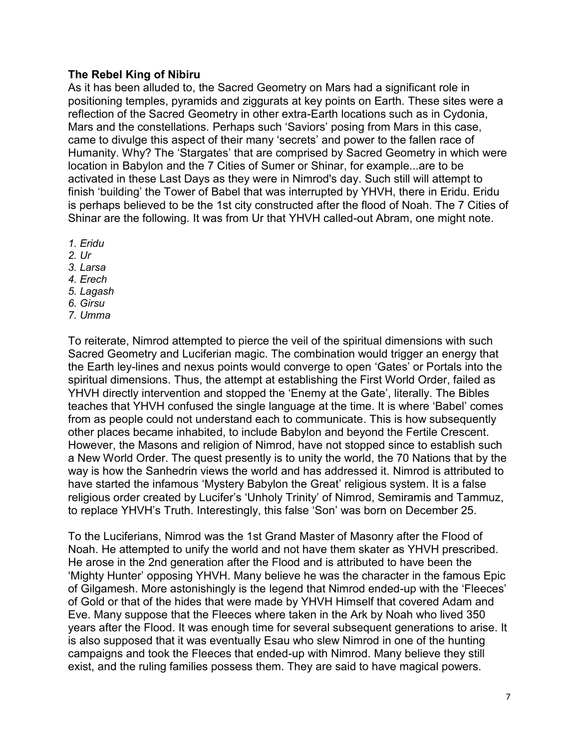# **The Rebel King of Nibiru**

As it has been alluded to, the Sacred Geometry on Mars had a significant role in positioning temples, pyramids and ziggurats at key points on Earth. These sites were a reflection of the Sacred Geometry in other extra-Earth locations such as in Cydonia, Mars and the constellations. Perhaps such 'Saviors' posing from Mars in this case, came to divulge this aspect of their many 'secrets' and power to the fallen race of Humanity. Why? The 'Stargates' that are comprised by Sacred Geometry in which were location in Babylon and the 7 Cities of Sumer or Shinar, for example...are to be activated in these Last Days as they were in Nimrod's day. Such still will attempt to finish 'building' the Tower of Babel that was interrupted by YHVH, there in Eridu. Eridu is perhaps believed to be the 1st city constructed after the flood of Noah. The 7 Cities of Shinar are the following. It was from Ur that YHVH called-out Abram, one might note.

- *1. Eridu*
- *2. Ur*
- *3. Larsa*
- *4. Erech*
- *5. Lagash*
- *6. Girsu*
- *7. Umma*

To reiterate, Nimrod attempted to pierce the veil of the spiritual dimensions with such Sacred Geometry and Luciferian magic. The combination would trigger an energy that the Earth ley-lines and nexus points would converge to open 'Gates' or Portals into the spiritual dimensions. Thus, the attempt at establishing the First World Order, failed as YHVH directly intervention and stopped the 'Enemy at the Gate', literally. The Bibles teaches that YHVH confused the single language at the time. It is where 'Babel' comes from as people could not understand each to communicate. This is how subsequently other places became inhabited, to include Babylon and beyond the Fertile Crescent. However, the Masons and religion of Nimrod, have not stopped since to establish such a New World Order. The quest presently is to unity the world, the 70 Nations that by the way is how the Sanhedrin views the world and has addressed it. Nimrod is attributed to have started the infamous 'Mystery Babylon the Great' religious system. It is a false religious order created by Lucifer's 'Unholy Trinity' of Nimrod, Semiramis and Tammuz, to replace YHVH's Truth. Interestingly, this false 'Son' was born on December 25.

To the Luciferians, Nimrod was the 1st Grand Master of Masonry after the Flood of Noah. He attempted to unify the world and not have them skater as YHVH prescribed. He arose in the 2nd generation after the Flood and is attributed to have been the 'Mighty Hunter' opposing YHVH. Many believe he was the character in the famous Epic of Gilgamesh. More astonishingly is the legend that Nimrod ended-up with the 'Fleeces' of Gold or that of the hides that were made by YHVH Himself that covered Adam and Eve. Many suppose that the Fleeces where taken in the Ark by Noah who lived 350 years after the Flood. It was enough time for several subsequent generations to arise. It is also supposed that it was eventually Esau who slew Nimrod in one of the hunting campaigns and took the Fleeces that ended-up with Nimrod. Many believe they still exist, and the ruling families possess them. They are said to have magical powers.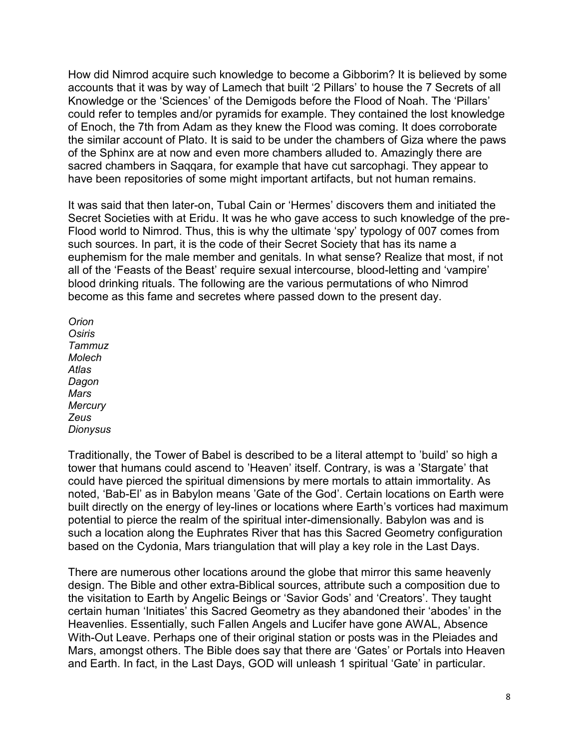How did Nimrod acquire such knowledge to become a Gibborim? It is believed by some accounts that it was by way of Lamech that built '2 Pillars' to house the 7 Secrets of all Knowledge or the 'Sciences' of the Demigods before the Flood of Noah. The 'Pillars' could refer to temples and/or pyramids for example. They contained the lost knowledge of Enoch, the 7th from Adam as they knew the Flood was coming. It does corroborate the similar account of Plato. It is said to be under the chambers of Giza where the paws of the Sphinx are at now and even more chambers alluded to. Amazingly there are sacred chambers in Saqqara, for example that have cut sarcophagi. They appear to have been repositories of some might important artifacts, but not human remains.

It was said that then later-on, Tubal Cain or 'Hermes' discovers them and initiated the Secret Societies with at Eridu. It was he who gave access to such knowledge of the pre-Flood world to Nimrod. Thus, this is why the ultimate 'spy' typology of 007 comes from such sources. In part, it is the code of their Secret Society that has its name a euphemism for the male member and genitals. In what sense? Realize that most, if not all of the 'Feasts of the Beast' require sexual intercourse, blood-letting and 'vampire' blood drinking rituals. The following are the various permutations of who Nimrod become as this fame and secretes where passed down to the present day.

*Orion Osiris Tammuz Molech Atlas Dagon Mars Mercury Zeus Dionysus*

Traditionally, the Tower of Babel is described to be a literal attempt to 'build' so high a tower that humans could ascend to 'Heaven' itself. Contrary, is was a 'Stargate' that could have pierced the spiritual dimensions by mere mortals to attain immortality. As noted, 'Bab-El' as in Babylon means 'Gate of the God'. Certain locations on Earth were built directly on the energy of ley-lines or locations where Earth's vortices had maximum potential to pierce the realm of the spiritual inter-dimensionally. Babylon was and is such a location along the Euphrates River that has this Sacred Geometry configuration based on the Cydonia, Mars triangulation that will play a key role in the Last Days.

There are numerous other locations around the globe that mirror this same heavenly design. The Bible and other extra-Biblical sources, attribute such a composition due to the visitation to Earth by Angelic Beings or 'Savior Gods' and 'Creators'. They taught certain human 'Initiates' this Sacred Geometry as they abandoned their 'abodes' in the Heavenlies. Essentially, such Fallen Angels and Lucifer have gone AWAL, Absence With-Out Leave. Perhaps one of their original station or posts was in the Pleiades and Mars, amongst others. The Bible does say that there are 'Gates' or Portals into Heaven and Earth. In fact, in the Last Days, GOD will unleash 1 spiritual 'Gate' in particular.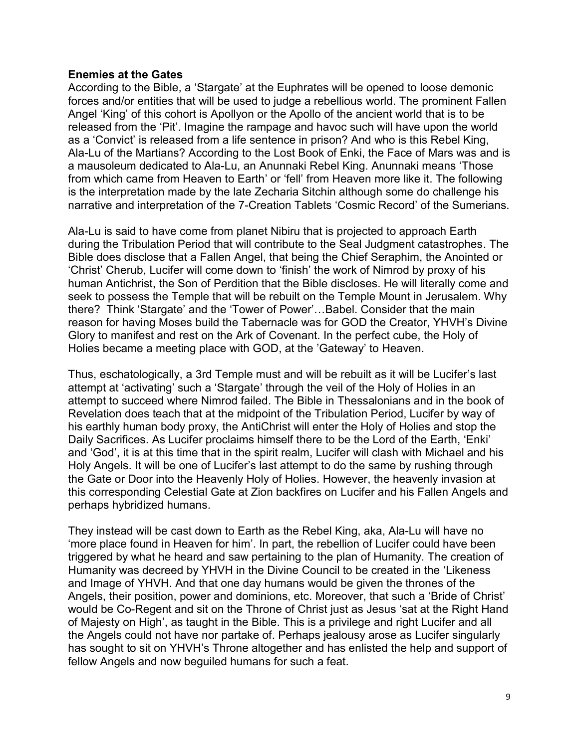## **Enemies at the Gates**

According to the Bible, a 'Stargate' at the Euphrates will be opened to loose demonic forces and/or entities that will be used to judge a rebellious world. The prominent Fallen Angel 'King' of this cohort is Apollyon or the Apollo of the ancient world that is to be released from the 'Pit'. Imagine the rampage and havoc such will have upon the world as a 'Convict' is released from a life sentence in prison? And who is this Rebel King, Ala-Lu of the Martians? According to the Lost Book of Enki, the Face of Mars was and is a mausoleum dedicated to Ala-Lu, an Anunnaki Rebel King. Anunnaki means 'Those from which came from Heaven to Earth' or 'fell' from Heaven more like it. The following is the interpretation made by the late Zecharia Sitchin although some do challenge his narrative and interpretation of the 7-Creation Tablets 'Cosmic Record' of the Sumerians.

Ala-Lu is said to have come from planet Nibiru that is projected to approach Earth during the Tribulation Period that will contribute to the Seal Judgment catastrophes. The Bible does disclose that a Fallen Angel, that being the Chief Seraphim, the Anointed or 'Christ' Cherub, Lucifer will come down to 'finish' the work of Nimrod by proxy of his human Antichrist, the Son of Perdition that the Bible discloses. He will literally come and seek to possess the Temple that will be rebuilt on the Temple Mount in Jerusalem. Why there? Think 'Stargate' and the 'Tower of Power'…Babel. Consider that the main reason for having Moses build the Tabernacle was for GOD the Creator, YHVH's Divine Glory to manifest and rest on the Ark of Covenant. In the perfect cube, the Holy of Holies became a meeting place with GOD, at the 'Gateway' to Heaven.

Thus, eschatologically, a 3rd Temple must and will be rebuilt as it will be Lucifer's last attempt at 'activating' such a 'Stargate' through the veil of the Holy of Holies in an attempt to succeed where Nimrod failed. The Bible in Thessalonians and in the book of Revelation does teach that at the midpoint of the Tribulation Period, Lucifer by way of his earthly human body proxy, the AntiChrist will enter the Holy of Holies and stop the Daily Sacrifices. As Lucifer proclaims himself there to be the Lord of the Earth, 'Enki' and 'God', it is at this time that in the spirit realm, Lucifer will clash with Michael and his Holy Angels. It will be one of Lucifer's last attempt to do the same by rushing through the Gate or Door into the Heavenly Holy of Holies. However, the heavenly invasion at this corresponding Celestial Gate at Zion backfires on Lucifer and his Fallen Angels and perhaps hybridized humans.

They instead will be cast down to Earth as the Rebel King, aka, Ala-Lu will have no 'more place found in Heaven for him'. In part, the rebellion of Lucifer could have been triggered by what he heard and saw pertaining to the plan of Humanity. The creation of Humanity was decreed by YHVH in the Divine Council to be created in the 'Likeness and Image of YHVH. And that one day humans would be given the thrones of the Angels, their position, power and dominions, etc. Moreover, that such a 'Bride of Christ' would be Co-Regent and sit on the Throne of Christ just as Jesus 'sat at the Right Hand of Majesty on High', as taught in the Bible. This is a privilege and right Lucifer and all the Angels could not have nor partake of. Perhaps jealousy arose as Lucifer singularly has sought to sit on YHVH's Throne altogether and has enlisted the help and support of fellow Angels and now beguiled humans for such a feat.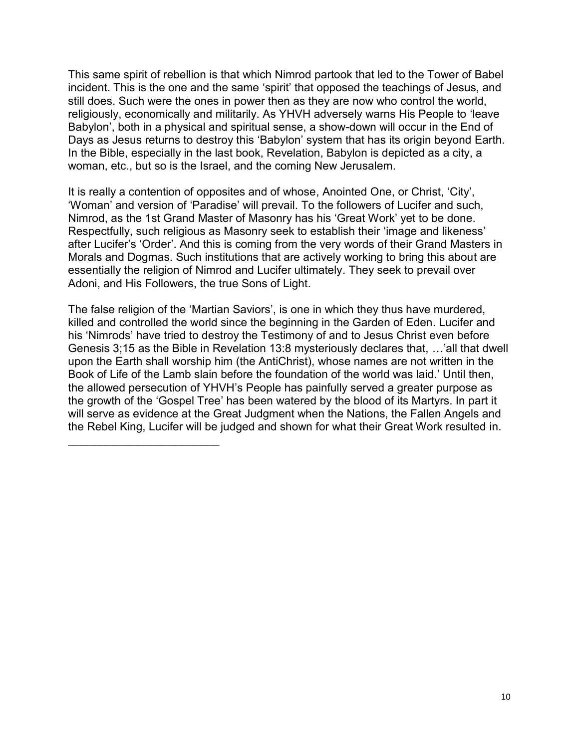This same spirit of rebellion is that which Nimrod partook that led to the Tower of Babel incident. This is the one and the same 'spirit' that opposed the teachings of Jesus, and still does. Such were the ones in power then as they are now who control the world, religiously, economically and militarily. As YHVH adversely warns His People to 'leave Babylon', both in a physical and spiritual sense, a show-down will occur in the End of Days as Jesus returns to destroy this 'Babylon' system that has its origin beyond Earth. In the Bible, especially in the last book, Revelation, Babylon is depicted as a city, a woman, etc., but so is the Israel, and the coming New Jerusalem.

It is really a contention of opposites and of whose, Anointed One, or Christ, 'City', 'Woman' and version of 'Paradise' will prevail. To the followers of Lucifer and such, Nimrod, as the 1st Grand Master of Masonry has his 'Great Work' yet to be done. Respectfully, such religious as Masonry seek to establish their 'image and likeness' after Lucifer's 'Order'. And this is coming from the very words of their Grand Masters in Morals and Dogmas. Such institutions that are actively working to bring this about are essentially the religion of Nimrod and Lucifer ultimately. They seek to prevail over Adoni, and His Followers, the true Sons of Light.

The false religion of the 'Martian Saviors', is one in which they thus have murdered, killed and controlled the world since the beginning in the Garden of Eden. Lucifer and his 'Nimrods' have tried to destroy the Testimony of and to Jesus Christ even before Genesis 3;15 as the Bible in Revelation 13:8 mysteriously declares that, …'all that dwell upon the Earth shall worship him (the AntiChrist), whose names are not written in the Book of Life of the Lamb slain before the foundation of the world was laid.' Until then, the allowed persecution of YHVH's People has painfully served a greater purpose as the growth of the 'Gospel Tree' has been watered by the blood of its Martyrs. In part it will serve as evidence at the Great Judgment when the Nations, the Fallen Angels and the Rebel King, Lucifer will be judged and shown for what their Great Work resulted in.

 $\mathcal{L}_\text{max}$  , where  $\mathcal{L}_\text{max}$  , we have the set of the set of the set of the set of the set of the set of the set of the set of the set of the set of the set of the set of the set of the set of the set of the set of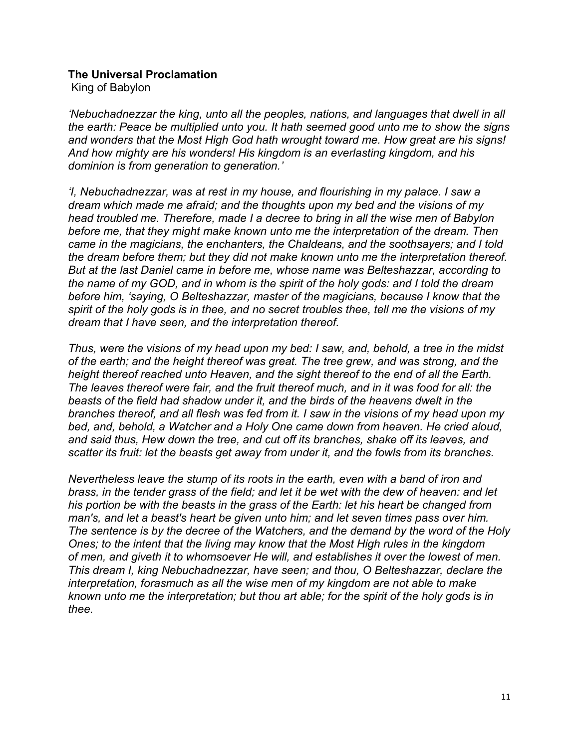#### **The Universal Proclamation**

King of Babylon

*'Nebuchadnezzar the king, unto all the peoples, nations, and languages that dwell in all the earth: Peace be multiplied unto you. It hath seemed good unto me to show the signs and wonders that the Most High God hath wrought toward me. How great are his signs! And how mighty are his wonders! His kingdom is an everlasting kingdom, and his dominion is from generation to generation.'*

*'I, Nebuchadnezzar, was at rest in my house, and flourishing in my palace. I saw a dream which made me afraid; and the thoughts upon my bed and the visions of my head troubled me. Therefore, made I a decree to bring in all the wise men of Babylon before me, that they might make known unto me the interpretation of the dream. Then came in the magicians, the enchanters, the Chaldeans, and the soothsayers; and I told the dream before them; but they did not make known unto me the interpretation thereof. But at the last Daniel came in before me, whose name was Belteshazzar, according to the name of my GOD, and in whom is the spirit of the holy gods: and I told the dream before him, 'saying, O Belteshazzar, master of the magicians, because I know that the spirit of the holy gods is in thee, and no secret troubles thee, tell me the visions of my dream that I have seen, and the interpretation thereof.*

*Thus, were the visions of my head upon my bed: I saw, and, behold, a tree in the midst of the earth; and the height thereof was great. The tree grew, and was strong, and the height thereof reached unto Heaven, and the sight thereof to the end of all the Earth. The leaves thereof were fair, and the fruit thereof much, and in it was food for all: the beasts of the field had shadow under it, and the birds of the heavens dwelt in the branches thereof, and all flesh was fed from it. I saw in the visions of my head upon my bed, and, behold, a Watcher and a Holy One came down from heaven. He cried aloud, and said thus, Hew down the tree, and cut off its branches, shake off its leaves, and scatter its fruit: let the beasts get away from under it, and the fowls from its branches.*

*Nevertheless leave the stump of its roots in the earth, even with a band of iron and brass, in the tender grass of the field; and let it be wet with the dew of heaven: and let his portion be with the beasts in the grass of the Earth: let his heart be changed from man's, and let a beast's heart be given unto him; and let seven times pass over him. The sentence is by the decree of the Watchers, and the demand by the word of the Holy Ones; to the intent that the living may know that the Most High rules in the kingdom of men, and giveth it to whomsoever He will, and establishes it over the lowest of men. This dream I, king Nebuchadnezzar, have seen; and thou, O Belteshazzar, declare the interpretation, forasmuch as all the wise men of my kingdom are not able to make known unto me the interpretation; but thou art able; for the spirit of the holy gods is in thee.*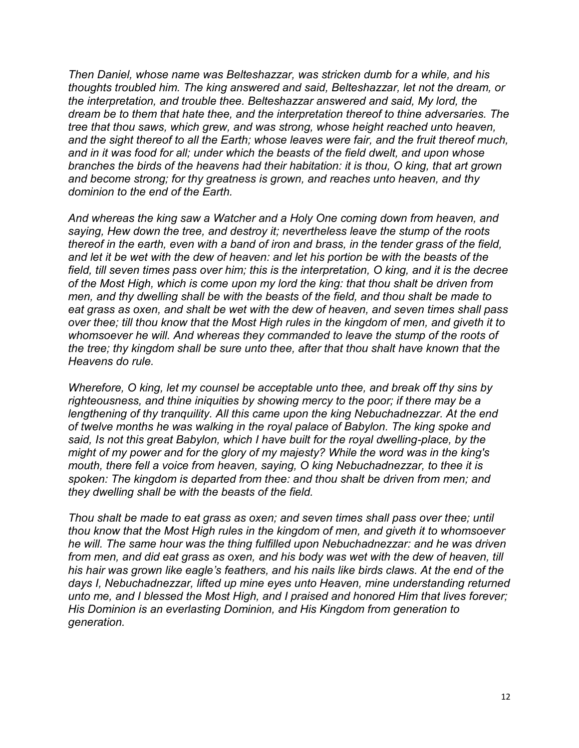*Then Daniel, whose name was Belteshazzar, was stricken dumb for a while, and his thoughts troubled him. The king answered and said, Belteshazzar, let not the dream, or the interpretation, and trouble thee. Belteshazzar answered and said, My lord, the dream be to them that hate thee, and the interpretation thereof to thine adversaries. The tree that thou saws, which grew, and was strong, whose height reached unto heaven, and the sight thereof to all the Earth; whose leaves were fair, and the fruit thereof much, and in it was food for all; under which the beasts of the field dwelt, and upon whose branches the birds of the heavens had their habitation: it is thou, O king, that art grown and become strong; for thy greatness is grown, and reaches unto heaven, and thy dominion to the end of the Earth.* 

*And whereas the king saw a Watcher and a Holy One coming down from heaven, and saying, Hew down the tree, and destroy it; nevertheless leave the stump of the roots thereof in the earth, even with a band of iron and brass, in the tender grass of the field, and let it be wet with the dew of heaven: and let his portion be with the beasts of the field, till seven times pass over him; this is the interpretation, O king, and it is the decree of the Most High, which is come upon my lord the king: that thou shalt be driven from men, and thy dwelling shall be with the beasts of the field, and thou shalt be made to eat grass as oxen, and shalt be wet with the dew of heaven, and seven times shall pass over thee; till thou know that the Most High rules in the kingdom of men, and giveth it to whomsoever he will. And whereas they commanded to leave the stump of the roots of the tree; thy kingdom shall be sure unto thee, after that thou shalt have known that the Heavens do rule.* 

*Wherefore, O king, let my counsel be acceptable unto thee, and break off thy sins by righteousness, and thine iniquities by showing mercy to the poor; if there may be a lengthening of thy tranquility. All this came upon the king Nebuchadnezzar. At the end of twelve months he was walking in the royal palace of Babylon. The king spoke and said, Is not this great Babylon, which I have built for the royal dwelling-place, by the might of my power and for the glory of my majesty? While the word was in the king's mouth, there fell a voice from heaven, saying, O king Nebuchadnezzar, to thee it is spoken: The kingdom is departed from thee: and thou shalt be driven from men; and they dwelling shall be with the beasts of the field.*

*Thou shalt be made to eat grass as oxen; and seven times shall pass over thee; until thou know that the Most High rules in the kingdom of men, and giveth it to whomsoever he will. The same hour was the thing fulfilled upon Nebuchadnezzar: and he was driven from men, and did eat grass as oxen, and his body was wet with the dew of heaven, till his hair was grown like eagle's feathers, and his nails like birds claws. At the end of the days I, Nebuchadnezzar, lifted up mine eyes unto Heaven, mine understanding returned unto me, and I blessed the Most High, and I praised and honored Him that lives forever; His Dominion is an everlasting Dominion, and His Kingdom from generation to generation.*